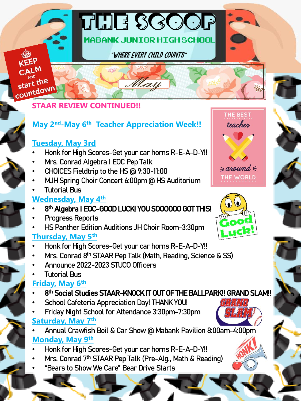# start down **STAAR REVIEW CONTINUED!!**

#### **May 2nd-May 6th Teacher Appreciation Week!!**

The Scoop

Mabank Junior High School

"Where Every Child Counts"

May

#### **Tuesday, May 3rd**

start the

- Honk for High Scores-Get your car horns R-E-A-D-Y!!
- Mrs. Conrad Algebra I EOC Pep Talk
- CHOICES Fieldtrip to the HS @ 9:30-11:00
- MJH Spring Choir Concert 6:00pm @ HS Auditorium
- Tutorial Bus

#### **Wednesday, May 4th**

- 8 th Algebra I EOC-GOOD LUCK! YOU SOOOOOO GOT THIS!
- Progress Reports
- HS Panther Edition Auditions JH Choir Room-3:30pm

#### **Thursday, May 5th**

- Honk for High Scores-Get your car horns R-E-A-D-Y!!
- Mrs. Conrad 8<sup>th</sup> STAAR Pep Talk (Math, Reading, Science & SS)
- Announce 2022-2023 STUCO Officers
- Tutorial Bus

#### **Friday, May 6th**

- 8<sup>th</sup> Social Studies STAAR-KNOCK IT OUT OF THE BALLPARK!! GRAND SLAM!!
- School Cafeteria Appreciation Day! THANK YOU!
- Friday Night School for Attendance 3:30pm-7:30pm **Saturday, May 7th**
- Annual Crawfish Boil & Car Show @ Mabank Pavilion 8:00am-4:00pm **Monday, May 9th**
- Honk for High Scores-Get your car horns R-E-A-D-Y!!
- Mrs. Conrad 7<sup>th</sup> STAAR Pep Talk (Pre-Alg., Math & Reading)
- "Bears to Show We Care" Bear Drive Starts



THE BEST teacher







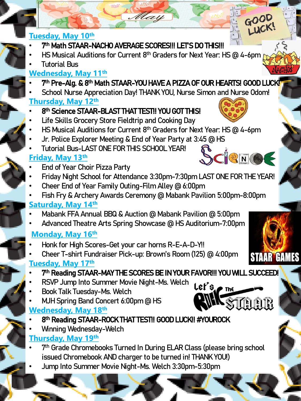#### **Tuesday, May 10th**

### • 7<sup>th</sup> Math STAAR-NACHO AVERAGE SCORES!!! LET'S DO THIS!!!

• HS Musical Auditions for Current 8th Graders for Next Year: HS @ 4-6pm

May

• Tutorial Bus

#### **Wednesday, May 11th**

- 7<sup>th</sup> Pre-Alg. & 8<sup>th</sup> Math STAAR-YOU HAVE A PIZZA OF OUR HEARTS! GOOD LUCK<mark>!</mark>
- School Nurse Appreciation Day! THANK YOU, Nurse Simon and Nurse Odom!

#### **Thursday, May 12th**

- 8<sup>th</sup> Science STAAR-BLAST THAT TEST!! YOU GOT THIS!
- Life Skills Grocery Store Fieldtrip and Cooking Day
- HS Musical Auditions for Current 8th Graders for Next Year: HS @ 4-6pm
- Jr. Police Explorer Meeting & End of Year Party at 3:45 @ HS
- Tutorial Bus-LAST ONE FOR THIS SCHOOL YEAR!

### **Friday, May 13th**

- End of Year Choir Pizza Party
- Friday Night School for Attendance 3:30pm-7:30pm LAST ONE FOR THE YEAR!
- Cheer End of Year Family Outing-Film Alley @ 6:00pm
- Fish Fry & Archery Awards Ceremony @ Mabank Pavilion 5:00pm-8:00pm **Saturday, May 14th**
- Mabank FFA Annual BBQ & Auction @ Mabank Pavilion @ 5:00pm
- Advanced Theatre Arts Spring Showcase @ HS Auditorium-7:00pm

### **Monday, May 16th**

- Honk for High Scores-Get your car horns R-E-A-D-Y!!
- Cheer T-shirt Fundraiser Pick-up: Brown's Room (125) @ 4:00pm **Tuesday, May 17th**
- 7<sup>th</sup> Reading STAAR-MAY THE SCORES BE IN YOUR FAVOR!!! YOU WILL SUCCEED!
- RSVP Jump Into Summer Movie Night-Ms. Welch
- Book Talk Tuesday-Ms. Welch
- MJH Spring Band Concert 6:00pm @ HS

#### **Wednesday, May 18th**

- 8<sup>th</sup> Reading STAAR-ROCK THAT TEST!! GOOD LUCK!! #YOUROCK
- Winning Wednesday-Welch

#### **Thursday, May 19th**

- 7<sup>th</sup> Grade Chromebooks Turned In During ELAR Class (please bring school issued Chromebook AND charger to be turned in! THANK YOU!)
- Jump Into Summer Movie Night-Ms. Welch 3:30pm-5:30pm











LUCK!

 $GOOQ$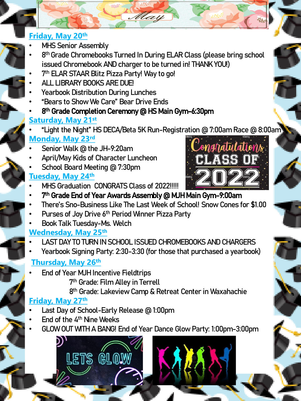#### **Friday, May 20th**

- **MHS Senior Assembly**
- 8<sup>th</sup> Grade Chromebooks Turned In During ELAR Class (please bring school issued Chromebook AND charger to be turned in! THANK YOU!)

May

- 7<sup>th</sup> ELAR STAAR Blitz Pizza Party! Way to go!
- ALL LIBRARY BOOKS ARE DUE!
- Yearbook Distribution During Lunches
- "Bears to Show We Care" Bear Drive Ends
- 8<sup>th</sup> Grade Completion Ceremony @ HS Main Gym-6:30pm

## **Saturday, May 21st**

- "Light the Night" HS DECA/Beta 5K Run-Registration @ 7:00am Race @ 8:00am **Monday, May 23rd**
- Senior Walk @ the JH-9:20am
- April/May Kids of Character Luncheon
- School Board Meeting @ 7:30pm

### **Tuesday, May 24th**

- MHS Graduation CONGRATS Class of 2022!!!!!
- 7<sup>th</sup> Grade End of Year Awards Assembly @ MJH Main Gym-9:00am
- There's Sno-Business Like The Last Week of School! Snow Cones for \$1.00
- Purses of Joy Drive 6<sup>th</sup> Period Winner Pizza Party
- Book Talk Tuesday-Ms. Welch

### **Wednesday, May 25th**

- LAST DAY TO TURN IN SCHOOL ISSUED CHROMEBOOKS AND CHARGERS
- Yearbook Signing Party: 2:30-3:30 (for those that purchased a yearbook)

### **Thursday, May 26th**

- End of Year MJH Incentive Fieldtrips
	- 7 th Grade: Film Alley in Terrell
	- 8<sup>th</sup> Grade: Lakeview Camp & Retreat Center in Waxahachie

## **Friday, May 27th**

- Last Day of School-Early Release @ 1:00pm
- End of the 4<sup>th</sup> Nine Weeks
- GLOW OUT WITH A BANG! End of Year Dance Glow Party: 1:00pm-3:00pm